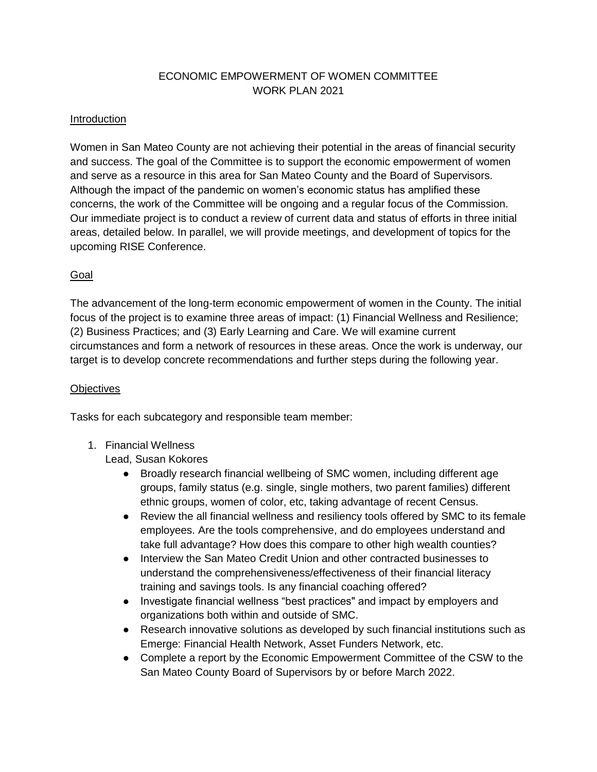# ECONOMIC EMPOWERMENT OF WOMEN COMMITTEE WORK PLAN 2021

### Introduction

Women in San Mateo County are not achieving their potential in the areas of financial security and success. The goal of the Committee is to support the economic empowerment of women and serve as a resource in this area for San Mateo County and the Board of Supervisors. Although the impact of the pandemic on women's economic status has amplified these concerns, the work of the Committee will be ongoing and a regular focus of the Commission. Our immediate project is to conduct a review of current data and status of efforts in three initial areas, detailed below. In parallel, we will provide meetings, and development of topics for the upcoming RISE Conference.

## Goal

The advancement of the long-term economic empowerment of women in the County. The initial focus of the project is to examine three areas of impact: (1) Financial Wellness and Resilience; (2) Business Practices; and (3) Early Learning and Care. We will examine current circumstances and form a network of resources in these areas. Once the work is underway, our target is to develop concrete recommendations and further steps during the following year.

#### **Objectives**

Tasks for each subcategory and responsible team member:

1. Financial Wellness

Lead, Susan Kokores

- Broadly research financial wellbeing of SMC women, including different age groups, family status (e.g. single, single mothers, two parent families) different ethnic groups, women of color, etc, taking advantage of recent Census.
- Review the all financial wellness and resiliency tools offered by SMC to its female employees. Are the tools comprehensive, and do employees understand and take full advantage? How does this compare to other high wealth counties?
- Interview the San Mateo Credit Union and other contracted businesses to understand the comprehensiveness/effectiveness of their financial literacy training and savings tools. Is any financial coaching offered?
- Investigate financial wellness "best practices" and impact by employers and organizations both within and outside of SMC.
- Research innovative solutions as developed by such financial institutions such as Emerge: Financial Health Network, Asset Funders Network, etc.
- Complete a report by the Economic Empowerment Committee of the CSW to the San Mateo County Board of Supervisors by or before March 2022.